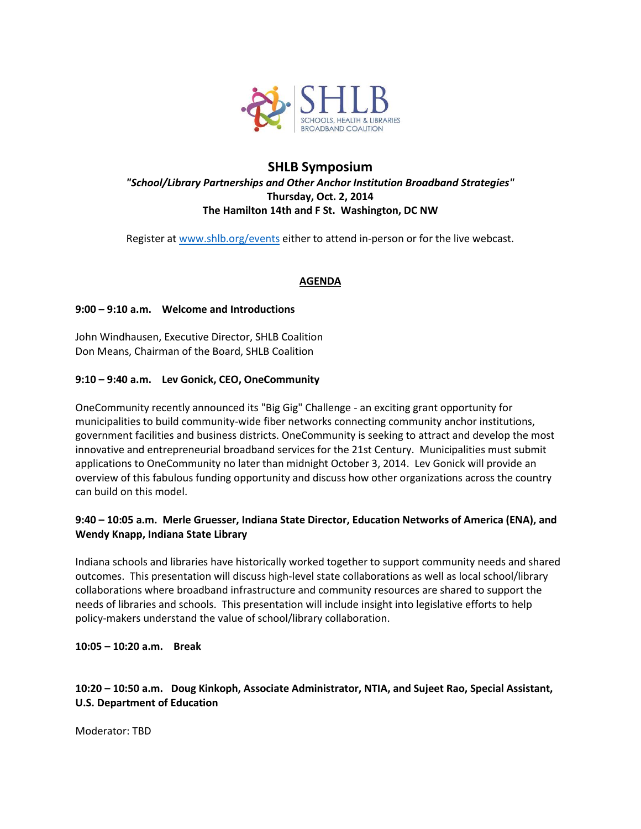

## **SHLB Symposium** *"School/Library Partnerships and Other Anchor Institution Broadband Strategies"* **Thursday, Oct. 2, 2014 The Hamilton 14th and F St. Washington, DC NW**

Register at [www.shlb.org/events](http://www.shlb.org/events) either to attend in-person or for the live webcast.

### **AGENDA**

#### **9:00 – 9:10 a.m. Welcome and Introductions**

John Windhausen, Executive Director, SHLB Coalition Don Means, Chairman of the Board, SHLB Coalition

#### **9:10 – 9:40 a.m. Lev Gonick, CEO, OneCommunity**

OneCommunity recently announced its "Big Gig" Challenge - an exciting grant opportunity for municipalities to build community-wide fiber networks connecting community anchor institutions, government facilities and business districts. OneCommunity is seeking to attract and develop the most innovative and entrepreneurial broadband services for the 21st Century. Municipalities must submit applications to OneCommunity no later than midnight October 3, 2014. Lev Gonick will provide an overview of this fabulous funding opportunity and discuss how other organizations across the country can build on this model.

#### **9:40 – 10:05 a.m. Merle Gruesser, Indiana State Director, Education Networks of America (ENA), and Wendy Knapp, Indiana State Library**

Indiana schools and libraries have historically worked together to support community needs and shared outcomes. This presentation will discuss high-level state collaborations as well as local school/library collaborations where broadband infrastructure and community resources are shared to support the needs of libraries and schools. This presentation will include insight into legislative efforts to help policy-makers understand the value of school/library collaboration.

**10:05 – 10:20 a.m. Break**

### **10:20 – 10:50 a.m. Doug Kinkoph, Associate Administrator, NTIA, and Sujeet Rao, Special Assistant, U.S. Department of Education**

Moderator: TBD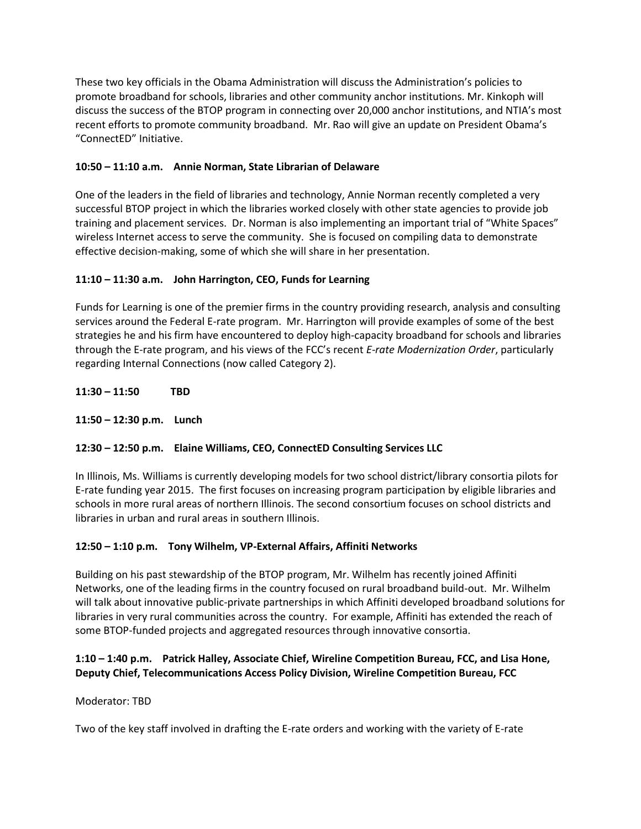These two key officials in the Obama Administration will discuss the Administration's policies to promote broadband for schools, libraries and other community anchor institutions. Mr. Kinkoph will discuss the success of the BTOP program in connecting over 20,000 anchor institutions, and NTIA's most recent efforts to promote community broadband. Mr. Rao will give an update on President Obama's "ConnectED" Initiative.

## **10:50 – 11:10 a.m. Annie Norman, State Librarian of Delaware**

One of the leaders in the field of libraries and technology, Annie Norman recently completed a very successful BTOP project in which the libraries worked closely with other state agencies to provide job training and placement services. Dr. Norman is also implementing an important trial of "White Spaces" wireless Internet access to serve the community. She is focused on compiling data to demonstrate effective decision-making, some of which she will share in her presentation.

# **11:10 – 11:30 a.m. John Harrington, CEO, Funds for Learning**

Funds for Learning is one of the premier firms in the country providing research, analysis and consulting services around the Federal E-rate program. Mr. Harrington will provide examples of some of the best strategies he and his firm have encountered to deploy high-capacity broadband for schools and libraries through the E-rate program, and his views of the FCC's recent *E-rate Modernization Order*, particularly regarding Internal Connections (now called Category 2).

**11:30 – 11:50 TBD**

**11:50 – 12:30 p.m. Lunch**

# **12:30 – 12:50 p.m. Elaine Williams, CEO, ConnectED Consulting Services LLC**

In Illinois, Ms. Williams is currently developing models for two school district/library consortia pilots for E-rate funding year 2015. The first focuses on increasing program participation by eligible libraries and schools in more rural areas of northern Illinois. The second consortium focuses on school districts and libraries in urban and rural areas in southern Illinois.

### **12:50 – 1:10 p.m. Tony Wilhelm, VP-External Affairs, Affiniti Networks**

Building on his past stewardship of the BTOP program, Mr. Wilhelm has recently joined Affiniti Networks, one of the leading firms in the country focused on rural broadband build-out. Mr. Wilhelm will talk about innovative public-private partnerships in which Affiniti developed broadband solutions for libraries in very rural communities across the country. For example, Affiniti has extended the reach of some BTOP-funded projects and aggregated resources through innovative consortia.

## **1:10 – 1:40 p.m. Patrick Halley, Associate Chief, Wireline Competition Bureau, FCC, and Lisa Hone, Deputy Chief, Telecommunications Access Policy Division, Wireline Competition Bureau, FCC**

### Moderator: TBD

Two of the key staff involved in drafting the E-rate orders and working with the variety of E-rate